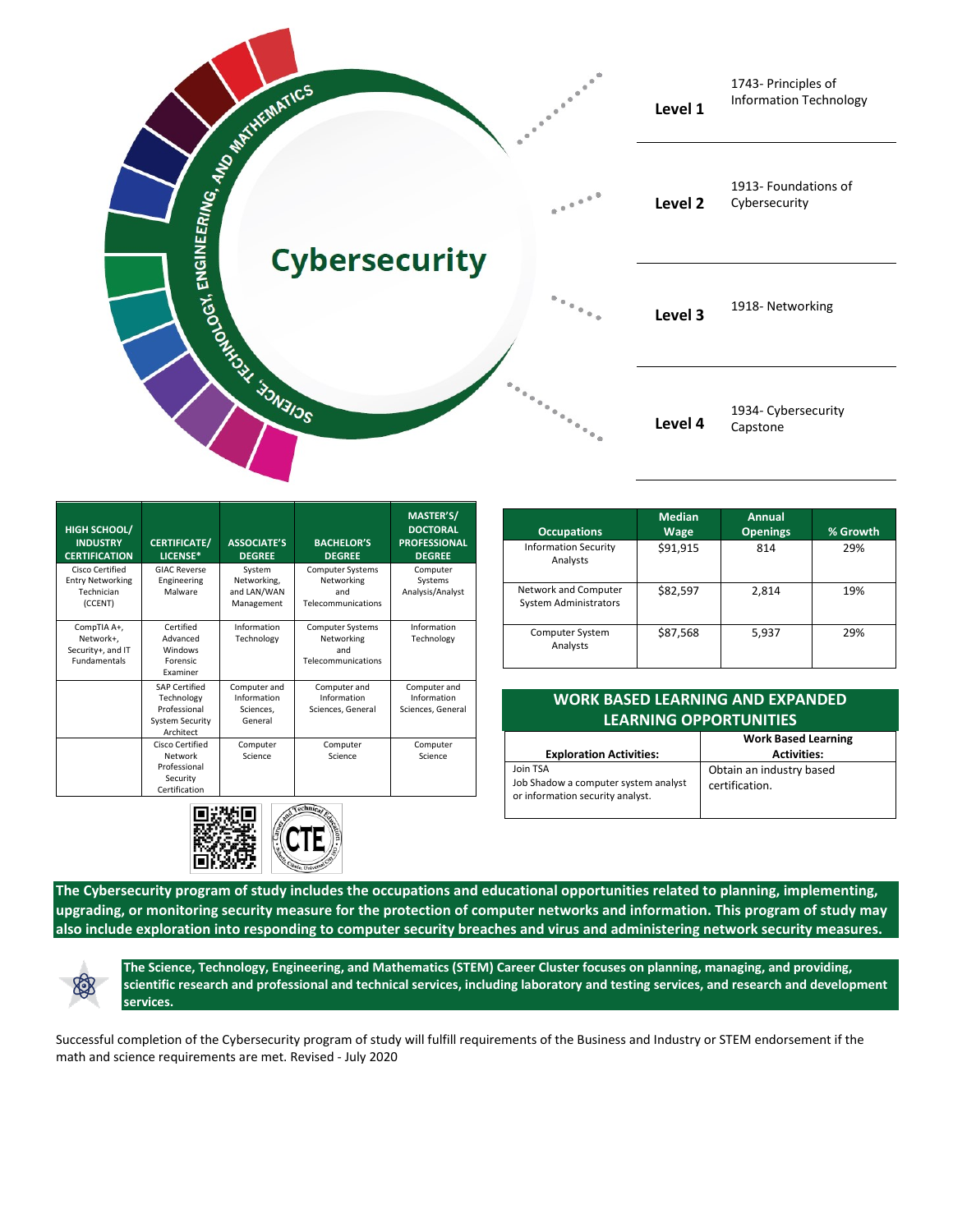

| <b>HIGH SCHOOL/</b><br><b>INDUSTRY</b><br><b>CERTIFICATION</b>       | <b>CERTIFICATE/</b><br>LICENSE*                                                           | <b>ASSOCIATE'S</b><br><b>DEGREE</b>                 | <b>BACHELOR'S</b><br><b>DEGREE</b>                                 | MASTER'S/<br><b>DOCTORAL</b><br><b>PROFESSIONAL</b><br><b>DEGREE</b> |
|----------------------------------------------------------------------|-------------------------------------------------------------------------------------------|-----------------------------------------------------|--------------------------------------------------------------------|----------------------------------------------------------------------|
| Cisco Certified<br><b>Entry Networking</b><br>Technician<br>(CCENT)  | <b>GIAC Reverse</b><br>Engineering<br>Malware                                             | System<br>Networking,<br>and LAN/WAN<br>Management  | <b>Computer Systems</b><br>Networking<br>and<br>Telecommunications | Computer<br>Systems<br>Analysis/Analyst                              |
| CompTIA A+,<br>Network+,<br>Security+, and IT<br><b>Fundamentals</b> | Certified<br>Advanced<br>Windows<br><b>Forensic</b><br>Examiner                           | Information<br>Technology                           | <b>Computer Systems</b><br>Networking<br>and<br>Telecommunications | Information<br>Technology                                            |
|                                                                      | <b>SAP Certified</b><br>Technology<br>Professional<br><b>System Security</b><br>Architect | Computer and<br>Information<br>Sciences,<br>General | Computer and<br>Information<br>Sciences, General                   | Computer and<br>Information<br>Sciences, General                     |
|                                                                      | Cisco Certified<br>Network<br>Professional<br>Security<br>Certification                   | Computer<br>Science                                 | Computer<br>Science                                                | Computer<br>Science                                                  |

| <b>Occupations</b>                                   | <b>Median</b><br>Wage | Annual<br><b>Openings</b> | % Growth |
|------------------------------------------------------|-----------------------|---------------------------|----------|
| <b>Information Security</b><br>Analysts              | \$91,915              | 814                       | 29%      |
| Network and Computer<br><b>System Administrators</b> | \$82,597              | 2,814                     | 19%      |
| Computer System<br>Analysts                          | \$87,568              | 5,937                     | 29%      |

## **WORK BASED LEARNING AND EXPANDED LEARNING OPPORTUNITIES**

| <b>Exploration Activities:</b>                                                       | <b>Work Based Learning</b><br><b>Activities:</b> |
|--------------------------------------------------------------------------------------|--------------------------------------------------|
| Join TSA<br>Job Shadow a computer system analyst<br>or information security analyst. | Obtain an industry based<br>certification.       |





**The Science, Technology, Engineering, and Mathematics (STEM) Career Cluster focuses on planning, managing, and providing, scientific research and professional and technical services, including laboratory and testing services, and research and development services.**

Successful completion of the Cybersecurity program of study will fulfill requirements of the Business and Industry or STEM endorsement if the math and science requirements are met. Revised - July 2020